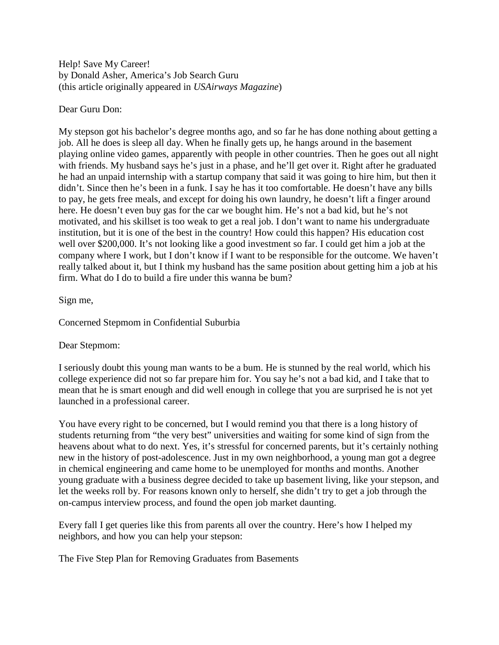Help! Save My Career! by Donald Asher, America's Job Search Guru (this article originally appeared in *USAirways Magazine*)

# Dear Guru Don:

My stepson got his bachelor's degree months ago, and so far he has done nothing about getting a job. All he does is sleep all day. When he finally gets up, he hangs around in the basement playing online video games, apparently with people in other countries. Then he goes out all night with friends. My husband says he's just in a phase, and he'll get over it. Right after he graduated he had an unpaid internship with a startup company that said it was going to hire him, but then it didn't. Since then he's been in a funk. I say he has it too comfortable. He doesn't have any bills to pay, he gets free meals, and except for doing his own laundry, he doesn't lift a finger around here. He doesn't even buy gas for the car we bought him. He's not a bad kid, but he's not motivated, and his skillset is too weak to get a real job. I don't want to name his undergraduate institution, but it is one of the best in the country! How could this happen? His education cost well over \$200,000. It's not looking like a good investment so far. I could get him a job at the company where I work, but I don't know if I want to be responsible for the outcome. We haven't really talked about it, but I think my husband has the same position about getting him a job at his firm. What do I do to build a fire under this wanna be bum?

# Sign me,

Concerned Stepmom in Confidential Suburbia

### Dear Stepmom:

I seriously doubt this young man wants to be a bum. He is stunned by the real world, which his college experience did not so far prepare him for. You say he's not a bad kid, and I take that to mean that he is smart enough and did well enough in college that you are surprised he is not yet launched in a professional career.

You have every right to be concerned, but I would remind you that there is a long history of students returning from "the very best" universities and waiting for some kind of sign from the heavens about what to do next. Yes, it's stressful for concerned parents, but it's certainly nothing new in the history of post-adolescence. Just in my own neighborhood, a young man got a degree in chemical engineering and came home to be unemployed for months and months. Another young graduate with a business degree decided to take up basement living, like your stepson, and let the weeks roll by. For reasons known only to herself, she didn't try to get a job through the on-campus interview process, and found the open job market daunting.

Every fall I get queries like this from parents all over the country. Here's how I helped my neighbors, and how you can help your stepson:

The Five Step Plan for Removing Graduates from Basements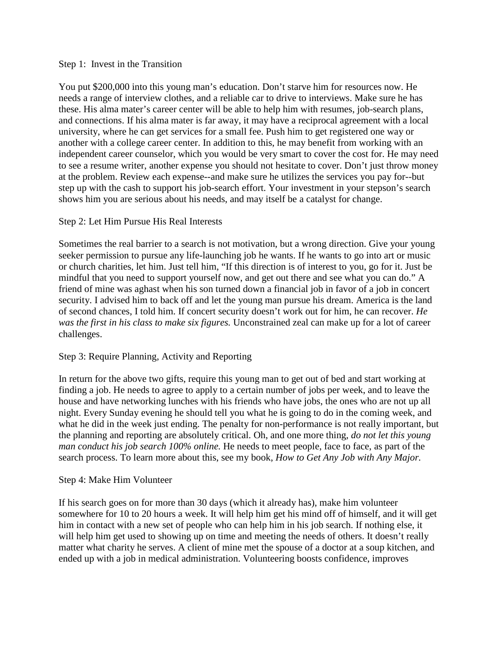### Step 1: Invest in the Transition

You put \$200,000 into this young man's education. Don't starve him for resources now. He needs a range of interview clothes, and a reliable car to drive to interviews. Make sure he has these. His alma mater's career center will be able to help him with resumes, job-search plans, and connections. If his alma mater is far away, it may have a reciprocal agreement with a local university, where he can get services for a small fee. Push him to get registered one way or another with a college career center. In addition to this, he may benefit from working with an independent career counselor, which you would be very smart to cover the cost for. He may need to see a resume writer, another expense you should not hesitate to cover. Don't just throw money at the problem. Review each expense--and make sure he utilizes the services you pay for--but step up with the cash to support his job-search effort. Your investment in your stepson's search shows him you are serious about his needs, and may itself be a catalyst for change.

# Step 2: Let Him Pursue His Real Interests

Sometimes the real barrier to a search is not motivation, but a wrong direction. Give your young seeker permission to pursue any life-launching job he wants. If he wants to go into art or music or church charities, let him. Just tell him, "If this direction is of interest to you, go for it. Just be mindful that you need to support yourself now, and get out there and see what you can do." A friend of mine was aghast when his son turned down a financial job in favor of a job in concert security. I advised him to back off and let the young man pursue his dream. America is the land of second chances, I told him. If concert security doesn't work out for him, he can recover. *He was the first in his class to make six figures.* Unconstrained zeal can make up for a lot of career challenges.

### Step 3: Require Planning, Activity and Reporting

In return for the above two gifts, require this young man to get out of bed and start working at finding a job. He needs to agree to apply to a certain number of jobs per week, and to leave the house and have networking lunches with his friends who have jobs, the ones who are not up all night. Every Sunday evening he should tell you what he is going to do in the coming week, and what he did in the week just ending. The penalty for non-performance is not really important, but the planning and reporting are absolutely critical. Oh, and one more thing, *do not let this young man conduct his job search 100% online.* He needs to meet people, face to face, as part of the search process. To learn more about this, see my book, *How to Get Any Job with Any Major.*

### Step 4: Make Him Volunteer

If his search goes on for more than 30 days (which it already has), make him volunteer somewhere for 10 to 20 hours a week. It will help him get his mind off of himself, and it will get him in contact with a new set of people who can help him in his job search. If nothing else, it will help him get used to showing up on time and meeting the needs of others. It doesn't really matter what charity he serves. A client of mine met the spouse of a doctor at a soup kitchen, and ended up with a job in medical administration. Volunteering boosts confidence, improves